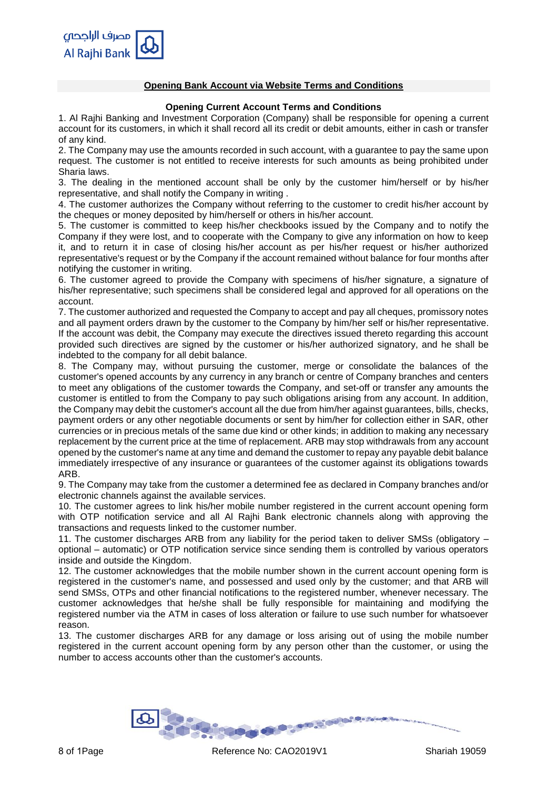

## **Opening Bank Account via Website Terms and Conditions**

### **Opening Current Account Terms and Conditions**

1. Al Rajhi Banking and Investment Corporation (Company) shall be responsible for opening a current account for its customers, in which it shall record all its credit or debit amounts, either in cash or transfer of any kind.

2. The Company may use the amounts recorded in such account, with a guarantee to pay the same upon request. The customer is not entitled to receive interests for such amounts as being prohibited under Sharia laws.

3. The dealing in the mentioned account shall be only by the customer him/herself or by his/her representative, and shall notify the Company in writing .

4. The customer authorizes the Company without referring to the customer to credit his/her account by the cheques or money deposited by him/herself or others in his/her account.

5. The customer is committed to keep his/her checkbooks issued by the Company and to notify the Company if they were lost, and to cooperate with the Company to give any information on how to keep it, and to return it in case of closing his/her account as per his/her request or his/her authorized representative's request or by the Company if the account remained without balance for four months after notifying the customer in writing.

6. The customer agreed to provide the Company with specimens of his/her signature, a signature of his/her representative; such specimens shall be considered legal and approved for all operations on the account.

7. The customer authorized and requested the Company to accept and pay all cheques, promissory notes and all payment orders drawn by the customer to the Company by him/her self or his/her representative. If the account was debit, the Company may execute the directives issued thereto regarding this account provided such directives are signed by the customer or his/her authorized signatory, and he shall be indebted to the company for all debit balance.

8. The Company may, without pursuing the customer, merge or consolidate the balances of the customer's opened accounts by any currency in any branch or centre of Company branches and centers to meet any obligations of the customer towards the Company, and set-off or transfer any amounts the customer is entitled to from the Company to pay such obligations arising from any account. In addition, the Company may debit the customer's account all the due from him/her against guarantees, bills, checks, payment orders or any other negotiable documents or sent by him/her for collection either in SAR, other currencies or in precious metals of the same due kind or other kinds; in addition to making any necessary replacement by the current price at the time of replacement. ARB may stop withdrawals from any account opened by the customer's name at any time and demand the customer to repay any payable debit balance immediately irrespective of any insurance or guarantees of the customer against its obligations towards ARB.

9. The Company may take from the customer a determined fee as declared in Company branches and/or electronic channels against the available services.

10. The customer agrees to link his/her mobile number registered in the current account opening form with OTP notification service and all Al Rajhi Bank electronic channels along with approving the transactions and requests linked to the customer number.

11. The customer discharges ARB from any liability for the period taken to deliver SMSs (obligatory – optional – automatic) or OTP notification service since sending them is controlled by various operators inside and outside the Kingdom.

12. The customer acknowledges that the mobile number shown in the current account opening form is registered in the customer's name, and possessed and used only by the customer; and that ARB will send SMSs, OTPs and other financial notifications to the registered number, whenever necessary. The customer acknowledges that he/she shall be fully responsible for maintaining and modifying the registered number via the ATM in cases of loss alteration or failure to use such number for whatsoever reason.

13. The customer discharges ARB for any damage or loss arising out of using the mobile number registered in the current account opening form by any person other than the customer, or using the number to access accounts other than the customer's accounts.

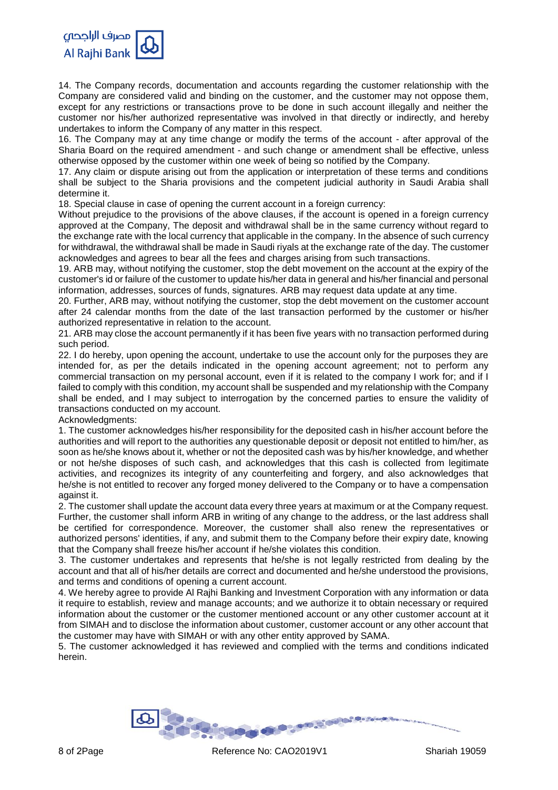

14. The Company records, documentation and accounts regarding the customer relationship with the Company are considered valid and binding on the customer, and the customer may not oppose them, except for any restrictions or transactions prove to be done in such account illegally and neither the customer nor his/her authorized representative was involved in that directly or indirectly, and hereby undertakes to inform the Company of any matter in this respect.

16. The Company may at any time change or modify the terms of the account - after approval of the Sharia Board on the required amendment - and such change or amendment shall be effective, unless otherwise opposed by the customer within one week of being so notified by the Company.

17. Any claim or dispute arising out from the application or interpretation of these terms and conditions shall be subject to the Sharia provisions and the competent judicial authority in Saudi Arabia shall determine it.

18. Special clause in case of opening the current account in a foreign currency:

Without prejudice to the provisions of the above clauses, if the account is opened in a foreign currency approved at the Company, The deposit and withdrawal shall be in the same currency without regard to the exchange rate with the local currency that applicable in the company. In the absence of such currency for withdrawal, the withdrawal shall be made in Saudi riyals at the exchange rate of the day. The customer acknowledges and agrees to bear all the fees and charges arising from such transactions.

19. ARB may, without notifying the customer, stop the debt movement on the account at the expiry of the customer's id or failure of the customer to update his/her data in general and his/her financial and personal information, addresses, sources of funds, signatures. ARB may request data update at any time.

20. Further, ARB may, without notifying the customer, stop the debt movement on the customer account after 24 calendar months from the date of the last transaction performed by the customer or his/her authorized representative in relation to the account.

21. ARB may close the account permanently if it has been five years with no transaction performed during such period.

22. I do hereby, upon opening the account, undertake to use the account only for the purposes they are intended for, as per the details indicated in the opening account agreement; not to perform any commercial transaction on my personal account, even if it is related to the company I work for; and if I failed to comply with this condition, my account shall be suspended and my relationship with the Company shall be ended, and I may subject to interrogation by the concerned parties to ensure the validity of transactions conducted on my account.

Acknowledgments:

1. The customer acknowledges his/her responsibility for the deposited cash in his/her account before the authorities and will report to the authorities any questionable deposit or deposit not entitled to him/her, as soon as he/she knows about it, whether or not the deposited cash was by his/her knowledge, and whether or not he/she disposes of such cash, and acknowledges that this cash is collected from legitimate activities, and recognizes its integrity of any counterfeiting and forgery, and also acknowledges that he/she is not entitled to recover any forged money delivered to the Company or to have a compensation against it.

2. The customer shall update the account data every three years at maximum or at the Company request. Further, the customer shall inform ARB in writing of any change to the address, or the last address shall be certified for correspondence. Moreover, the customer shall also renew the representatives or authorized persons' identities, if any, and submit them to the Company before their expiry date, knowing that the Company shall freeze his/her account if he/she violates this condition.

3. The customer undertakes and represents that he/she is not legally restricted from dealing by the account and that all of his/her details are correct and documented and he/she understood the provisions, and terms and conditions of opening a current account.

4. We hereby agree to provide Al Rajhi Banking and Investment Corporation with any information or data it require to establish, review and manage accounts; and we authorize it to obtain necessary or required information about the customer or the customer mentioned account or any other customer account at it from SIMAH and to disclose the information about customer, customer account or any other account that the customer may have with SIMAH or with any other entity approved by SAMA.

5. The customer acknowledged it has reviewed and complied with the terms and conditions indicated herein.

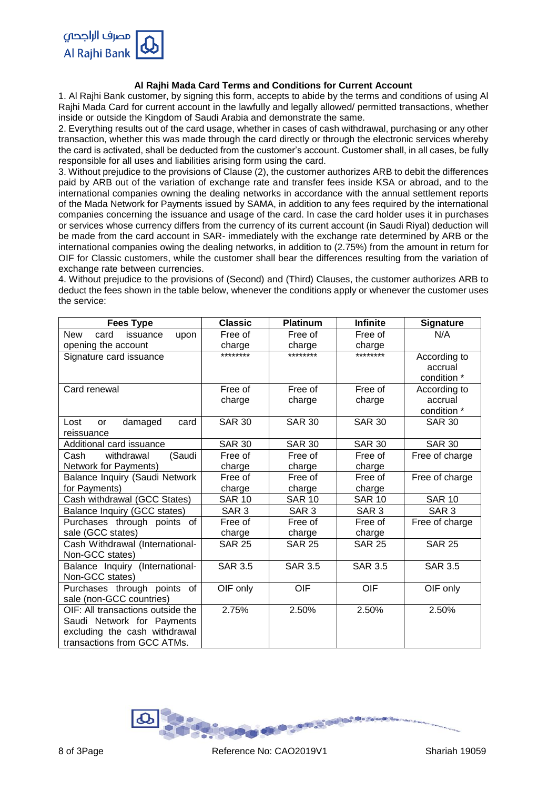

# **Al Rajhi Mada Card Terms and Conditions for Current Account**

1. Al Rajhi Bank customer, by signing this form, accepts to abide by the terms and conditions of using Al Rajhi Mada Card for current account in the lawfully and legally allowed/ permitted transactions, whether inside or outside the Kingdom of Saudi Arabia and demonstrate the same.

2. Everything results out of the card usage, whether in cases of cash withdrawal, purchasing or any other transaction, whether this was made through the card directly or through the electronic services whereby the card is activated, shall be deducted from the customer's account. Customer shall, in all cases, be fully responsible for all uses and liabilities arising form using the card.

3. Without prejudice to the provisions of Clause (2), the customer authorizes ARB to debit the differences paid by ARB out of the variation of exchange rate and transfer fees inside KSA or abroad, and to the international companies owning the dealing networks in accordance with the annual settlement reports of the Mada Network for Payments issued by SAMA, in addition to any fees required by the international companies concerning the issuance and usage of the card. In case the card holder uses it in purchases or services whose currency differs from the currency of its current account (in Saudi Riyal) deduction will be made from the card account in SAR- immediately with the exchange rate determined by ARB or the international companies owing the dealing networks, in addition to (2.75%) from the amount in return for OIF for Classic customers, while the customer shall bear the differences resulting from the variation of exchange rate between currencies.

4. Without prejudice to the provisions of (Second) and (Third) Clauses, the customer authorizes ARB to deduct the fees shown in the table below, whenever the conditions apply or whenever the customer uses the service:

| <b>Fees Type</b>                       | <b>Classic</b>   | Platinum         | <b>Infinite</b>  | <b>Signature</b> |
|----------------------------------------|------------------|------------------|------------------|------------------|
| <b>New</b><br>card<br>issuance<br>upon | Free of          | Free of          | Free of          | N/A              |
| opening the account                    | charge           | charge           | charge           |                  |
| Signature card issuance                | ********         | ********         | ********         | According to     |
|                                        |                  |                  |                  | accrual          |
|                                        |                  |                  |                  | condition *      |
| Card renewal                           | Free of          | Free of          | Free of          | According to     |
|                                        | charge           | charge           | charge           | accrual          |
|                                        |                  |                  |                  | condition *      |
| damaged<br>Lost<br>card<br><b>or</b>   | <b>SAR 30</b>    | <b>SAR 30</b>    | <b>SAR 30</b>    | <b>SAR 30</b>    |
| reissuance                             |                  |                  |                  |                  |
| Additional card issuance               | <b>SAR 30</b>    | <b>SAR 30</b>    | <b>SAR 30</b>    | <b>SAR 30</b>    |
| withdrawal<br>(Saudi<br>Cash           | Free of          | Free of          | Free of          | Free of charge   |
| Network for Payments)                  | charge           | charge           | charge           |                  |
| Balance Inquiry (Saudi Network         | Free of          | Free of          | Free of          | Free of charge   |
| for Payments)                          | charge           | charge           | charge           |                  |
| Cash withdrawal (GCC States)           | <b>SAR 10</b>    | <b>SAR 10</b>    | <b>SAR 10</b>    | <b>SAR 10</b>    |
| Balance Inquiry (GCC states)           | SAR <sub>3</sub> | SAR <sub>3</sub> | SAR <sub>3</sub> | SAR <sub>3</sub> |
| Purchases through points of            | Free of          | Free of          | Free of          | Free of charge   |
| sale (GCC states)                      | charge           | charge           | charge           |                  |
| Cash Withdrawal (International-        | <b>SAR 25</b>    | <b>SAR 25</b>    | <b>SAR 25</b>    | <b>SAR 25</b>    |
| Non-GCC states)                        |                  |                  |                  |                  |
| Balance Inquiry (International-        | <b>SAR 3.5</b>   | <b>SAR 3.5</b>   | <b>SAR 3.5</b>   | <b>SAR 3.5</b>   |
| Non-GCC states)                        |                  |                  |                  |                  |
| Purchases through points of            | OIF only         | OIF              | OIF              | OIF only         |
| sale (non-GCC countries)               |                  |                  |                  |                  |
| OIF: All transactions outside the      | 2.75%            | 2.50%            | 2.50%            | 2.50%            |
| Saudi Network for Payments             |                  |                  |                  |                  |
| excluding the cash withdrawal          |                  |                  |                  |                  |
| transactions from GCC ATMs.            |                  |                  |                  |                  |

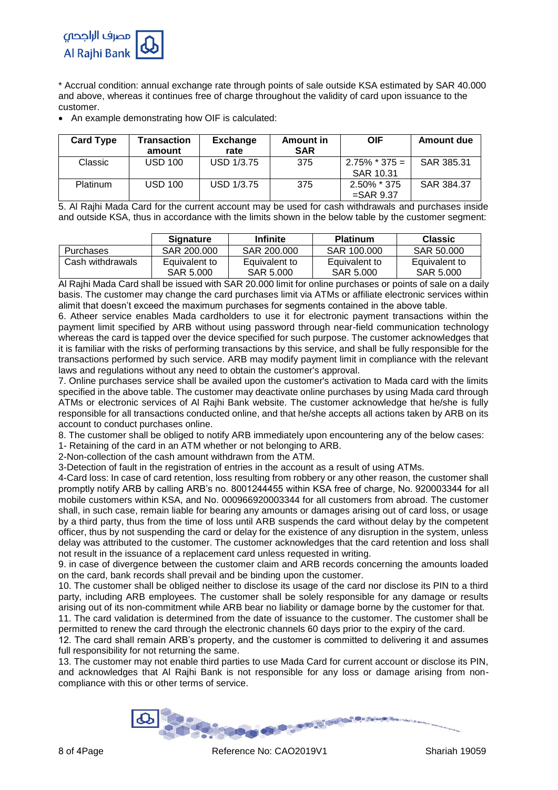

\* Accrual condition: annual exchange rate through points of sale outside KSA estimated by SAR 40.000 and above, whereas it continues free of charge throughout the validity of card upon issuance to the customer.

An example demonstrating how OIF is calculated:

| <b>Card Type</b> | Transaction<br>amount | <b>Exchange</b><br>rate | Amount in<br><b>SAR</b> | <b>OIF</b>                     | Amount due |
|------------------|-----------------------|-------------------------|-------------------------|--------------------------------|------------|
| Classic          | <b>USD 100</b>        | USD 1/3.75              | 375                     | $2.75\%$ * 375 =<br>SAR 10.31  | SAR 385.31 |
| <b>Platinum</b>  | <b>USD 100</b>        | <b>USD 1/3.75</b>       | 375                     | $2.50\%$ * 375<br>$=$ SAR 9.37 | SAR 384.37 |

5. Al Rajhi Mada Card for the current account may be used for cash withdrawals and purchases inside and outside KSA, thus in accordance with the limits shown in the below table by the customer segment:

|                  | <b>Signature</b>           | <b>Infinite</b>            | <b>Platinum</b>            | <b>Classic</b>             |
|------------------|----------------------------|----------------------------|----------------------------|----------------------------|
| <b>Purchases</b> | SAR 200,000                | SAR 200,000                | SAR 100.000                | SAR 50,000                 |
| Cash withdrawals | Equivalent to<br>SAR 5.000 | Equivalent to<br>SAR 5,000 | Equivalent to<br>SAR 5.000 | Equivalent to<br>SAR 5,000 |

Al Rajhi Mada Card shall be issued with SAR 20.000 limit for online purchases or points of sale on a daily basis. The customer may change the card purchases limit via ATMs or affiliate electronic services within alimit that doesn't exceed the maximum purchases for segments contained in the above table.

6. Atheer service enables Mada cardholders to use it for electronic payment transactions within the payment limit specified by ARB without using password through near-field communication technology whereas the card is tapped over the device specified for such purpose. The customer acknowledges that it is familiar with the risks of performing transactions by this service, and shall be fully responsible for the transactions performed by such service. ARB may modify payment limit in compliance with the relevant laws and regulations without any need to obtain the customer's approval.

7. Online purchases service shall be availed upon the customer's activation to Mada card with the limits specified in the above table. The customer may deactivate online purchases by using Mada card through ATMs or electronic services of Al Rajhi Bank website. The customer acknowledge that he/she is fully responsible for all transactions conducted online, and that he/she accepts all actions taken by ARB on its account to conduct purchases online.

8. The customer shall be obliged to notify ARB immediately upon encountering any of the below cases:

1- Retaining of the card in an ATM whether or not belonging to ARB.

2-Non-collection of the cash amount withdrawn from the ATM.

3-Detection of fault in the registration of entries in the account as a result of using ATMs.

4-Card loss: In case of card retention, loss resulting from robbery or any other reason, the customer shall promptly notify ARB by calling ARB's no. 8001244455 within KSA free of charge, No. 920003344 for all mobile customers within KSA, and No. 000966920003344 for all customers from abroad. The customer shall, in such case, remain liable for bearing any amounts or damages arising out of card loss, or usage by a third party, thus from the time of loss until ARB suspends the card without delay by the competent officer, thus by not suspending the card or delay for the existence of any disruption in the system, unless delay was attributed to the customer. The customer acknowledges that the card retention and loss shall not result in the issuance of a replacement card unless requested in writing.

9. in case of divergence between the customer claim and ARB records concerning the amounts loaded on the card, bank records shall prevail and be binding upon the customer.

10. The customer shall be obliged neither to disclose its usage of the card nor disclose its PIN to a third party, including ARB employees. The customer shall be solely responsible for any damage or results arising out of its non-commitment while ARB bear no liability or damage borne by the customer for that. 11. The card validation is determined from the date of issuance to the customer. The customer shall be

permitted to renew the card through the electronic channels 60 days prior to the expiry of the card.

12. The card shall remain ARB's property, and the customer is committed to delivering it and assumes full responsibility for not returning the same.

13. The customer may not enable third parties to use Mada Card for current account or disclose its PIN, and acknowledges that Al Rajhi Bank is not responsible for any loss or damage arising from noncompliance with this or other terms of service.

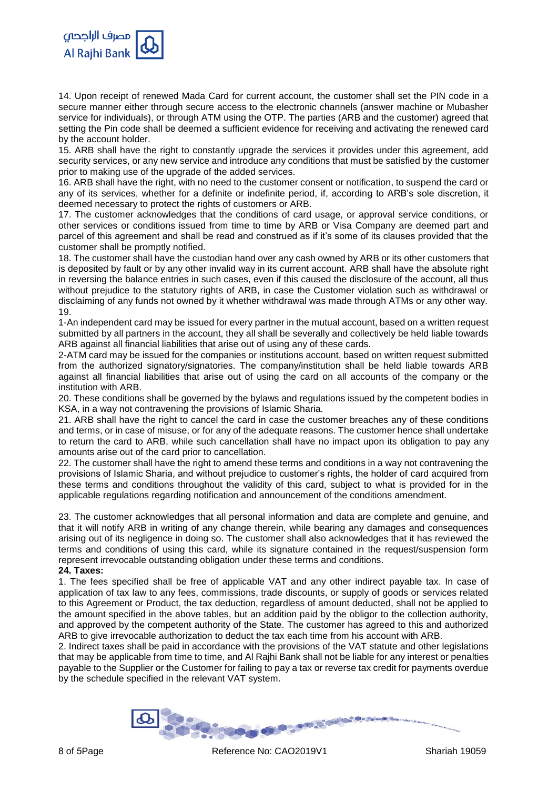

14. Upon receipt of renewed Mada Card for current account, the customer shall set the PIN code in a secure manner either through secure access to the electronic channels (answer machine or Mubasher service for individuals), or through ATM using the OTP. The parties (ARB and the customer) agreed that setting the Pin code shall be deemed a sufficient evidence for receiving and activating the renewed card by the account holder.

15. ARB shall have the right to constantly upgrade the services it provides under this agreement, add security services, or any new service and introduce any conditions that must be satisfied by the customer prior to making use of the upgrade of the added services.

16. ARB shall have the right, with no need to the customer consent or notification, to suspend the card or any of its services, whether for a definite or indefinite period, if, according to ARB's sole discretion, it deemed necessary to protect the rights of customers or ARB.

17. The customer acknowledges that the conditions of card usage, or approval service conditions, or other services or conditions issued from time to time by ARB or Visa Company are deemed part and parcel of this agreement and shall be read and construed as if it's some of its clauses provided that the customer shall be promptly notified.

18. The customer shall have the custodian hand over any cash owned by ARB or its other customers that is deposited by fault or by any other invalid way in its current account. ARB shall have the absolute right in reversing the balance entries in such cases, even if this caused the disclosure of the account, all thus without prejudice to the statutory rights of ARB, in case the Customer violation such as withdrawal or disclaiming of any funds not owned by it whether withdrawal was made through ATMs or any other way. 19.

1-An independent card may be issued for every partner in the mutual account, based on a written request submitted by all partners in the account, they all shall be severally and collectively be held liable towards ARB against all financial liabilities that arise out of using any of these cards.

2-ATM card may be issued for the companies or institutions account, based on written request submitted from the authorized signatory/signatories. The company/institution shall be held liable towards ARB against all financial liabilities that arise out of using the card on all accounts of the company or the institution with ARB.

20. These conditions shall be governed by the bylaws and regulations issued by the competent bodies in KSA, in a way not contravening the provisions of Islamic Sharia.

21. ARB shall have the right to cancel the card in case the customer breaches any of these conditions and terms, or in case of misuse, or for any of the adequate reasons. The customer hence shall undertake to return the card to ARB, while such cancellation shall have no impact upon its obligation to pay any amounts arise out of the card prior to cancellation.

22. The customer shall have the right to amend these terms and conditions in a way not contravening the provisions of Islamic Sharia, and without prejudice to customer's rights, the holder of card acquired from these terms and conditions throughout the validity of this card, subject to what is provided for in the applicable regulations regarding notification and announcement of the conditions amendment.

23. The customer acknowledges that all personal information and data are complete and genuine, and that it will notify ARB in writing of any change therein, while bearing any damages and consequences arising out of its negligence in doing so. The customer shall also acknowledges that it has reviewed the terms and conditions of using this card, while its signature contained in the request/suspension form represent irrevocable outstanding obligation under these terms and conditions.

**24. Taxes:**

1. The fees specified shall be free of applicable VAT and any other indirect payable tax. In case of application of tax law to any fees, commissions, trade discounts, or supply of goods or services related to this Agreement or Product, the tax deduction, regardless of amount deducted, shall not be applied to the amount specified in the above tables, but an addition paid by the obligor to the collection authority, and approved by the competent authority of the State. The customer has agreed to this and authorized ARB to give irrevocable authorization to deduct the tax each time from his account with ARB.

2. Indirect taxes shall be paid in accordance with the provisions of the VAT statute and other legislations that may be applicable from time to time, and Al Rajhi Bank shall not be liable for any interest or penalties payable to the Supplier or the Customer for failing to pay a tax or reverse tax credit for payments overdue by the schedule specified in the relevant VAT system.

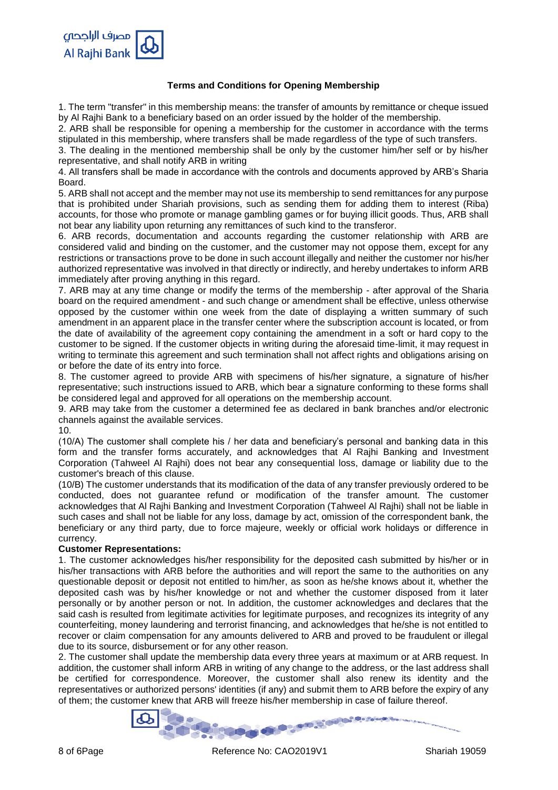## **Terms and Conditions for Opening Membership**

1. The term "transfer" in this membership means: the transfer of amounts by remittance or cheque issued by Al Rajhi Bank to a beneficiary based on an order issued by the holder of the membership.

2. ARB shall be responsible for opening a membership for the customer in accordance with the terms stipulated in this membership, where transfers shall be made regardless of the type of such transfers.

3. The dealing in the mentioned membership shall be only by the customer him/her self or by his/her representative, and shall notify ARB in writing

4. All transfers shall be made in accordance with the controls and documents approved by ARB's Sharia Board.

5. ARB shall not accept and the member may not use its membership to send remittances for any purpose that is prohibited under Shariah provisions, such as sending them for adding them to interest (Riba) accounts, for those who promote or manage gambling games or for buying illicit goods. Thus, ARB shall not bear any liability upon returning any remittances of such kind to the transferor.

6. ARB records, documentation and accounts regarding the customer relationship with ARB are considered valid and binding on the customer, and the customer may not oppose them, except for any restrictions or transactions prove to be done in such account illegally and neither the customer nor his/her authorized representative was involved in that directly or indirectly, and hereby undertakes to inform ARB immediately after proving anything in this regard.

7. ARB may at any time change or modify the terms of the membership - after approval of the Sharia board on the required amendment - and such change or amendment shall be effective, unless otherwise opposed by the customer within one week from the date of displaying a written summary of such amendment in an apparent place in the transfer center where the subscription account is located, or from the date of availability of the agreement copy containing the amendment in a soft or hard copy to the customer to be signed. If the customer objects in writing during the aforesaid time-limit, it may request in writing to terminate this agreement and such termination shall not affect rights and obligations arising on or before the date of its entry into force.

8. The customer agreed to provide ARB with specimens of his/her signature, a signature of his/her representative; such instructions issued to ARB, which bear a signature conforming to these forms shall be considered legal and approved for all operations on the membership account.

9. ARB may take from the customer a determined fee as declared in bank branches and/or electronic channels against the available services.

10.

(10/A) The customer shall complete his / her data and beneficiary's personal and banking data in this form and the transfer forms accurately, and acknowledges that Al Rajhi Banking and Investment Corporation (Tahweel Al Rajhi) does not bear any consequential loss, damage or liability due to the customer's breach of this clause.

(10/B) The customer understands that its modification of the data of any transfer previously ordered to be conducted, does not guarantee refund or modification of the transfer amount. The customer acknowledges that Al Rajhi Banking and Investment Corporation (Tahweel Al Rajhi) shall not be liable in such cases and shall not be liable for any loss, damage by act, omission of the correspondent bank, the beneficiary or any third party, due to force majeure, weekly or official work holidays or difference in currency.

### **Customer Representations:**

1. The customer acknowledges his/her responsibility for the deposited cash submitted by his/her or in his/her transactions with ARB before the authorities and will report the same to the authorities on any questionable deposit or deposit not entitled to him/her, as soon as he/she knows about it, whether the deposited cash was by his/her knowledge or not and whether the customer disposed from it later personally or by another person or not. In addition, the customer acknowledges and declares that the said cash is resulted from legitimate activities for legitimate purposes, and recognizes its integrity of any counterfeiting, money laundering and terrorist financing, and acknowledges that he/she is not entitled to recover or claim compensation for any amounts delivered to ARB and proved to be fraudulent or illegal due to its source, disbursement or for any other reason.

2. The customer shall update the membership data every three years at maximum or at ARB request. In addition, the customer shall inform ARB in writing of any change to the address, or the last address shall be certified for correspondence. Moreover, the customer shall also renew its identity and the representatives or authorized persons' identities (if any) and submit them to ARB before the expiry of any of them; the customer knew that ARB will freeze his/her membership in case of failure thereof.

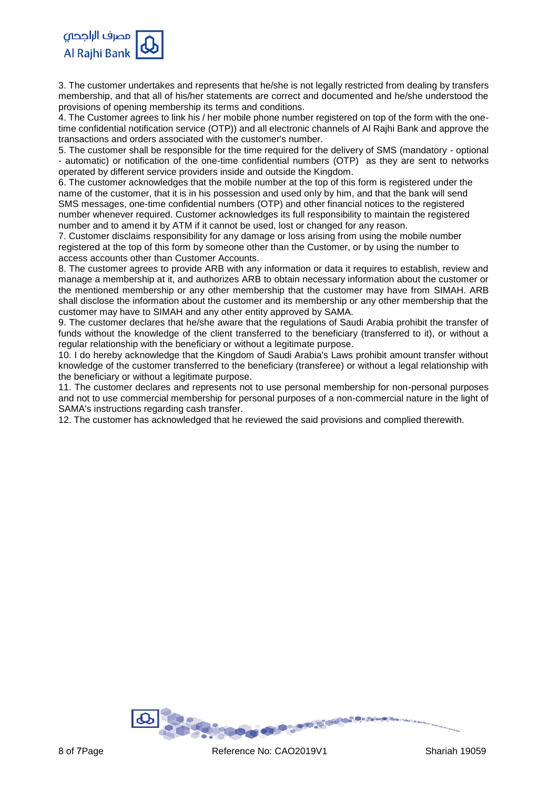

3. The customer undertakes and represents that he/she is not legally restricted from dealing by transfers membership, and that all of his/her statements are correct and documented and he/she understood the provisions of opening membership its terms and conditions.

4. The Customer agrees to link his / her mobile phone number registered on top of the form with the onetime confidential notification service (OTP)) and all electronic channels of Al Rajhi Bank and approve the transactions and orders associated with the customer's number.

5. The customer shall be responsible for the time required for the delivery of SMS (mandatory - optional - automatic) or notification of the one-time confidential numbers (OTP) as they are sent to networks operated by different service providers inside and outside the Kingdom.

6. The customer acknowledges that the mobile number at the top of this form is registered under the name of the customer, that it is in his possession and used only by him, and that the bank will send SMS messages, one-time confidential numbers (OTP) and other financial notices to the registered number whenever required. Customer acknowledges its full responsibility to maintain the registered number and to amend it by ATM if it cannot be used, lost or changed for any reason.

7. Customer disclaims responsibility for any damage or loss arising from using the mobile number registered at the top of this form by someone other than the Customer, or by using the number to access accounts other than Customer Accounts.

8. The customer agrees to provide ARB with any information or data it requires to establish, review and manage a membership at it, and authorizes ARB to obtain necessary information about the customer or the mentioned membership or any other membership that the customer may have from SIMAH. ARB shall disclose the information about the customer and its membership or any other membership that the customer may have to SIMAH and any other entity approved by SAMA.

9. The customer declares that he/she aware that the regulations of Saudi Arabia prohibit the transfer of funds without the knowledge of the client transferred to the beneficiary (transferred to it), or without a regular relationship with the beneficiary or without a legitimate purpose.

10. I do hereby acknowledge that the Kingdom of Saudi Arabia's Laws prohibit amount transfer without knowledge of the customer transferred to the beneficiary (transferee) or without a legal relationship with the beneficiary or without a legitimate purpose.

11. The customer declares and represents not to use personal membership for non-personal purposes and not to use commercial membership for personal purposes of a non-commercial nature in the light of SAMA's instructions regarding cash transfer.

12. The customer has acknowledged that he reviewed the said provisions and complied therewith.